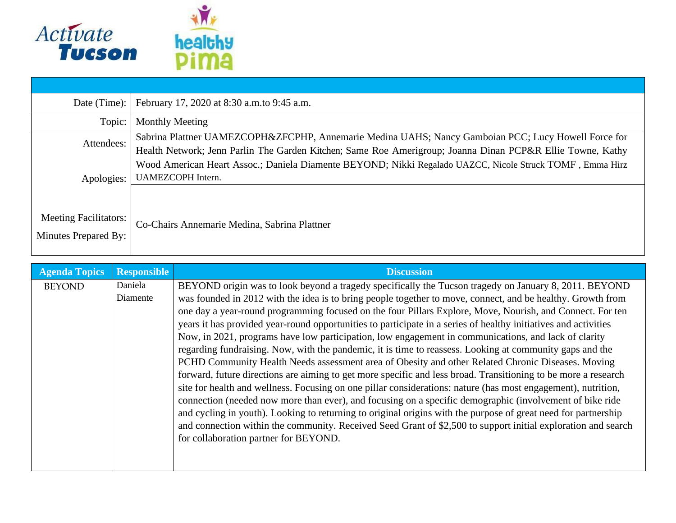

| Date (Time):                 | February 17, 2020 at 8:30 a.m. to 9:45 a.m.                                                                                                                                                                       |
|------------------------------|-------------------------------------------------------------------------------------------------------------------------------------------------------------------------------------------------------------------|
| Topic:                       | <b>Monthly Meeting</b>                                                                                                                                                                                            |
| Attendees:                   | Sabrina Plattner UAMEZCOPH&ZFCPHP, Annemarie Medina UAHS; Nancy Gamboian PCC; Lucy Howell Force for<br>Health Network; Jenn Parlin The Garden Kitchen; Same Roe Amerigroup; Joanna Dinan PCP&R Ellie Towne, Kathy |
| Apologies:                   | Wood American Heart Assoc.; Daniela Diamente BEYOND; Nikki Regalado UAZCC, Nicole Struck TOMF, Emma Hirz<br>UAMEZCOPH Intern.                                                                                     |
|                              |                                                                                                                                                                                                                   |
| <b>Meeting Facilitators:</b> | Co-Chairs Annemarie Medina, Sabrina Plattner                                                                                                                                                                      |
| Minutes Prepared By:         |                                                                                                                                                                                                                   |

| <b>Agenda Topics</b> | <b>Responsible</b> | <b>Discussion</b>                                                                                               |
|----------------------|--------------------|-----------------------------------------------------------------------------------------------------------------|
| <b>BEYOND</b>        | Daniela            | BEYOND origin was to look beyond a tragedy specifically the Tucson tragedy on January 8, 2011. BEYOND           |
|                      | Diamente           | was founded in 2012 with the idea is to bring people together to move, connect, and be healthy. Growth from     |
|                      |                    | one day a year-round programming focused on the four Pillars Explore, Move, Nourish, and Connect. For ten       |
|                      |                    | years it has provided year-round opportunities to participate in a series of healthy initiatives and activities |
|                      |                    | Now, in 2021, programs have low participation, low engagement in communications, and lack of clarity            |
|                      |                    | regarding fundraising. Now, with the pandemic, it is time to reassess. Looking at community gaps and the        |
|                      |                    | PCHD Community Health Needs assessment area of Obesity and other Related Chronic Diseases. Moving               |
|                      |                    | forward, future directions are aiming to get more specific and less broad. Transitioning to be more a research  |
|                      |                    | site for health and wellness. Focusing on one pillar considerations: nature (has most engagement), nutrition,   |
|                      |                    | connection (needed now more than ever), and focusing on a specific demographic (involvement of bike ride        |
|                      |                    | and cycling in youth). Looking to returning to original origins with the purpose of great need for partnership  |
|                      |                    | and connection within the community. Received Seed Grant of \$2,500 to support initial exploration and search   |
|                      |                    | for collaboration partner for BEYOND.                                                                           |
|                      |                    |                                                                                                                 |
|                      |                    |                                                                                                                 |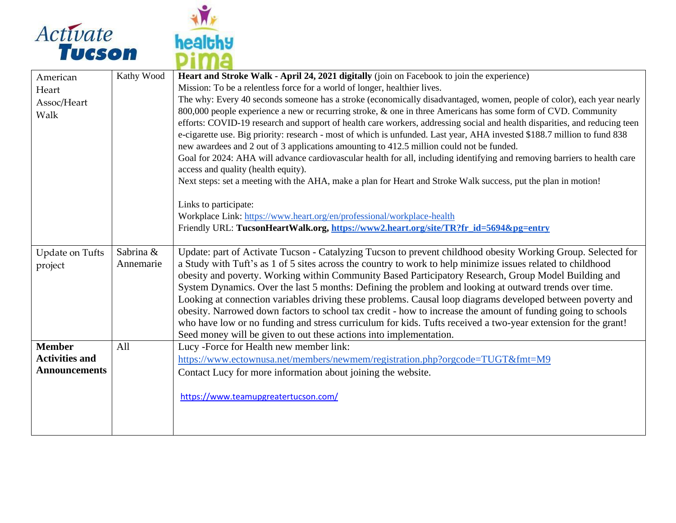



| American               | Kathy Wood | Heart and Stroke Walk - April 24, 2021 digitally (join on Facebook to join the experience)                                                                       |
|------------------------|------------|------------------------------------------------------------------------------------------------------------------------------------------------------------------|
| Heart                  |            | Mission: To be a relentless force for a world of longer, healthier lives.                                                                                        |
| Assoc/Heart            |            | The why: Every 40 seconds someone has a stroke (economically disadvantaged, women, people of color), each year nearly                                            |
| Walk                   |            | 800,000 people experience a new or recurring stroke, & one in three Americans has some form of CVD. Community                                                    |
|                        |            | efforts: COVID-19 research and support of health care workers, addressing social and health disparities, and reducing teen                                       |
|                        |            | e-cigarette use. Big priority: research - most of which is unfunded. Last year, AHA invested \$188.7 million to fund 838                                         |
|                        |            | new awardees and 2 out of 3 applications amounting to 412.5 million could not be funded.                                                                         |
|                        |            | Goal for 2024: AHA will advance cardiovascular health for all, including identifying and removing barriers to health care<br>access and quality (health equity). |
|                        |            | Next steps: set a meeting with the AHA, make a plan for Heart and Stroke Walk success, put the plan in motion!                                                   |
|                        |            | Links to participate:                                                                                                                                            |
|                        |            | Workplace Link: https://www.heart.org/en/professional/workplace-health                                                                                           |
|                        |            | Friendly URL: TucsonHeartWalk.org, https://www2.heart.org/site/TR?fr_id=5694&pg=entry                                                                            |
|                        |            |                                                                                                                                                                  |
| <b>Update on Tufts</b> | Sabrina &  | Update: part of Activate Tucson - Catalyzing Tucson to prevent childhood obesity Working Group. Selected for                                                     |
| project                | Annemarie  | a Study with Tuft's as 1 of 5 sites across the country to work to help minimize issues related to childhood                                                      |
|                        |            | obesity and poverty. Working within Community Based Participatory Research, Group Model Building and                                                             |
|                        |            | System Dynamics. Over the last 5 months: Defining the problem and looking at outward trends over time.                                                           |
|                        |            | Looking at connection variables driving these problems. Causal loop diagrams developed between poverty and                                                       |
|                        |            | obesity. Narrowed down factors to school tax credit - how to increase the amount of funding going to schools                                                     |
|                        |            | who have low or no funding and stress curriculum for kids. Tufts received a two-year extension for the grant!                                                    |
|                        |            | Seed money will be given to out these actions into implementation.                                                                                               |
| <b>Member</b>          | All        | Lucy -Force for Health new member link:                                                                                                                          |
| <b>Activities and</b>  |            | https://www.ectownusa.net/members/newmem/registration.php?orgcode=TUGT&fmt=M9                                                                                    |
| <b>Announcements</b>   |            | Contact Lucy for more information about joining the website.                                                                                                     |
|                        |            |                                                                                                                                                                  |
|                        |            | https://www.teamupgreatertucson.com/                                                                                                                             |
|                        |            |                                                                                                                                                                  |
|                        |            |                                                                                                                                                                  |
|                        |            |                                                                                                                                                                  |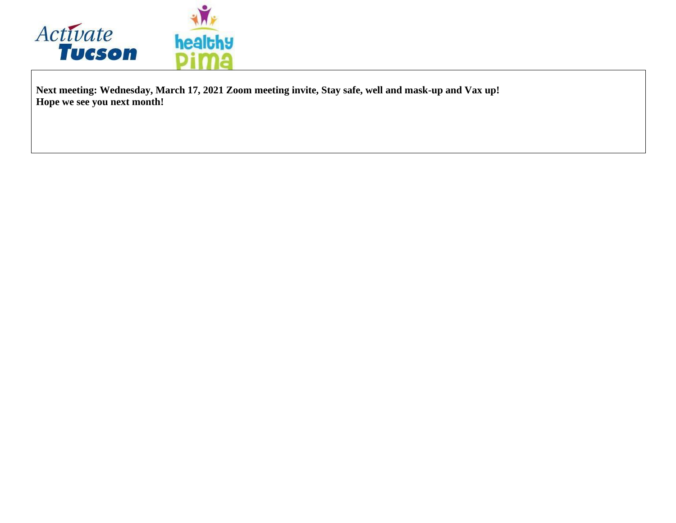

**Next meeting: Wednesday, March 17, 2021 Zoom meeting invite, Stay safe, well and mask-up and Vax up! Hope we see you next month!**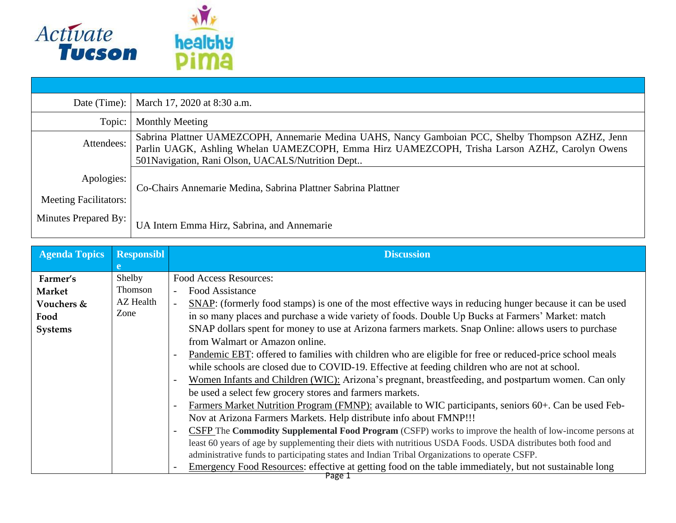

| Date (Time):                               | March 17, 2020 at 8:30 a.m.                                                                                                                                                                                                                             |
|--------------------------------------------|---------------------------------------------------------------------------------------------------------------------------------------------------------------------------------------------------------------------------------------------------------|
| Topic:                                     | <b>Monthly Meeting</b>                                                                                                                                                                                                                                  |
| Attendees:                                 | Sabrina Plattner UAMEZCOPH, Annemarie Medina UAHS, Nancy Gamboian PCC, Shelby Thompson AZHZ, Jenn<br>Parlin UAGK, Ashling Whelan UAMEZCOPH, Emma Hirz UAMEZCOPH, Trisha Larson AZHZ, Carolyn Owens<br>501 Navigation, Rani Olson, UACALS/Nutrition Dept |
| Apologies:<br><b>Meeting Facilitators:</b> | Co-Chairs Annemarie Medina, Sabrina Plattner Sabrina Plattner                                                                                                                                                                                           |
| Minutes Prepared By:                       | UA Intern Emma Hirz, Sabrina, and Annemarie                                                                                                                                                                                                             |

| <b>Agenda Topics</b> | <b>Responsibl</b> | <b>Discussion</b>                                                                                             |
|----------------------|-------------------|---------------------------------------------------------------------------------------------------------------|
|                      |                   |                                                                                                               |
| Farmer's             | Shelby            | <b>Food Access Resources:</b>                                                                                 |
| <b>Market</b>        | Thomson           | Food Assistance                                                                                               |
| Vouchers &           | <b>AZ</b> Health  | SNAP: (formerly food stamps) is one of the most effective ways in reducing hunger because it can be used      |
| Food                 | Zone              | in so many places and purchase a wide variety of foods. Double Up Bucks at Farmers' Market: match             |
| Systems              |                   | SNAP dollars spent for money to use at Arizona farmers markets. Snap Online: allows users to purchase         |
|                      |                   | from Walmart or Amazon online.                                                                                |
|                      |                   | Pandemic EBT: offered to families with children who are eligible for free or reduced-price school meals       |
|                      |                   | while schools are closed due to COVID-19. Effective at feeding children who are not at school.                |
|                      |                   | Women Infants and Children (WIC): Arizona's pregnant, breastfeeding, and postpartum women. Can only           |
|                      |                   | be used a select few grocery stores and farmers markets.                                                      |
|                      |                   | Farmers Market Nutrition Program (FMNP): available to WIC participants, seniors 60+. Can be used Feb-         |
|                      |                   | Nov at Arizona Farmers Markets. Help distribute info about FMNP!!!                                            |
|                      |                   | CSFP The Commodity Supplemental Food Program (CSFP) works to improve the health of low-income persons at      |
|                      |                   | least 60 years of age by supplementing their diets with nutritious USDA Foods. USDA distributes both food and |
|                      |                   | administrative funds to participating states and Indian Tribal Organizations to operate CSFP.                 |
|                      |                   | Emergency Food Resources: effective at getting food on the table immediately, but not sustainable long        |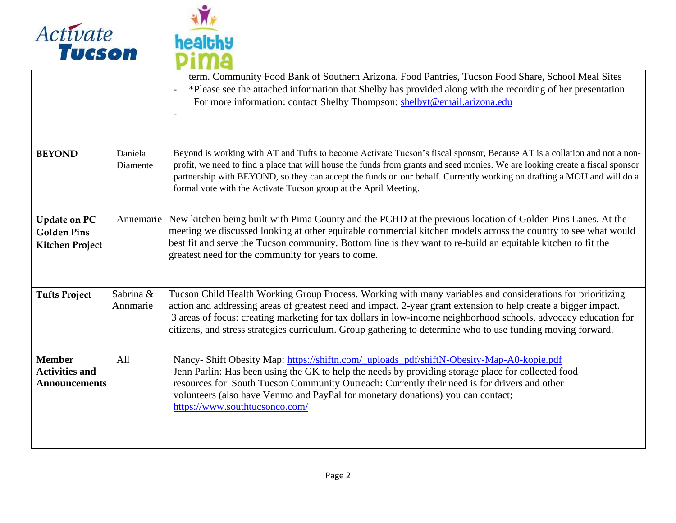



|                                                                     |                       | term. Community Food Bank of Southern Arizona, Food Pantries, Tucson Food Share, School Meal Sites<br>*Please see the attached information that Shelby has provided along with the recording of her presentation.<br>$\overline{\phantom{a}}$<br>For more information: contact Shelby Thompson: shelbyt@email.arizona.edu                                                                                                                                       |
|---------------------------------------------------------------------|-----------------------|-----------------------------------------------------------------------------------------------------------------------------------------------------------------------------------------------------------------------------------------------------------------------------------------------------------------------------------------------------------------------------------------------------------------------------------------------------------------|
| <b>BEYOND</b>                                                       | Daniela<br>Diamente   | Beyond is working with AT and Tufts to become Activate Tucson's fiscal sponsor, Because AT is a collation and not a non-<br>profit, we need to find a place that will house the funds from grants and seed monies. We are looking create a fiscal sponsor<br>partnership with BEYOND, so they can accept the funds on our behalf. Currently working on drafting a MOU and will do a<br>formal vote with the Activate Tucson group at the April Meeting.         |
| <b>Update on PC</b><br><b>Golden Pins</b><br><b>Kitchen Project</b> | Annemarie             | New kitchen being built with Pima County and the PCHD at the previous location of Golden Pins Lanes. At the<br>meeting we discussed looking at other equitable commercial kitchen models across the country to see what would<br>best fit and serve the Tucson community. Bottom line is they want to re-build an equitable kitchen to fit the<br>greatest need for the community for years to come.                                                            |
| <b>Tufts Project</b>                                                | Sabrina &<br>Annmarie | Tucson Child Health Working Group Process. Working with many variables and considerations for prioritizing<br>action and addressing areas of greatest need and impact. 2-year grant extension to help create a bigger impact.<br>3 areas of focus: creating marketing for tax dollars in low-income neighborhood schools, advocacy education for<br>citizens, and stress strategies curriculum. Group gathering to determine who to use funding moving forward. |
| <b>Member</b><br><b>Activities and</b><br><b>Announcements</b>      | All                   | Nancy- Shift Obesity Map: https://shiftn.com/_uploads_pdf/shiftN-Obesity-Map-A0-kopie.pdf<br>Jenn Parlin: Has been using the GK to help the needs by providing storage place for collected food<br>resources for South Tucson Community Outreach: Currently their need is for drivers and other<br>volunteers (also have Venmo and PayPal for monetary donations) you can contact;<br>https://www.southtucsonco.com/                                            |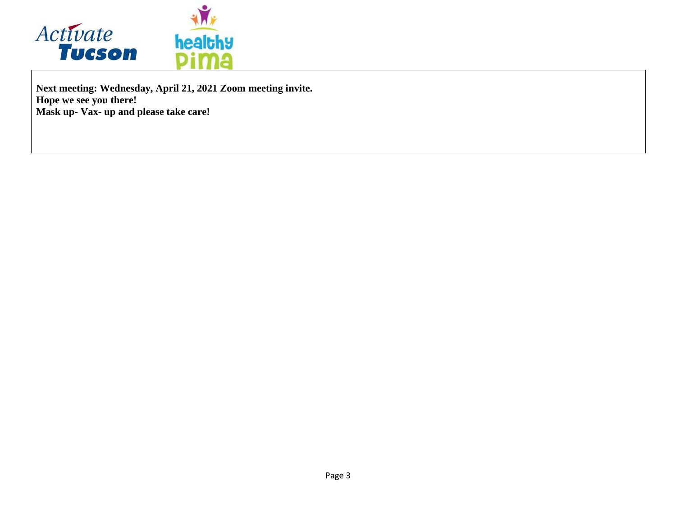

**Next meeting: Wednesday, April 21, 2021 Zoom meeting invite. Hope we see you there! Mask up- Vax- up and please take care!**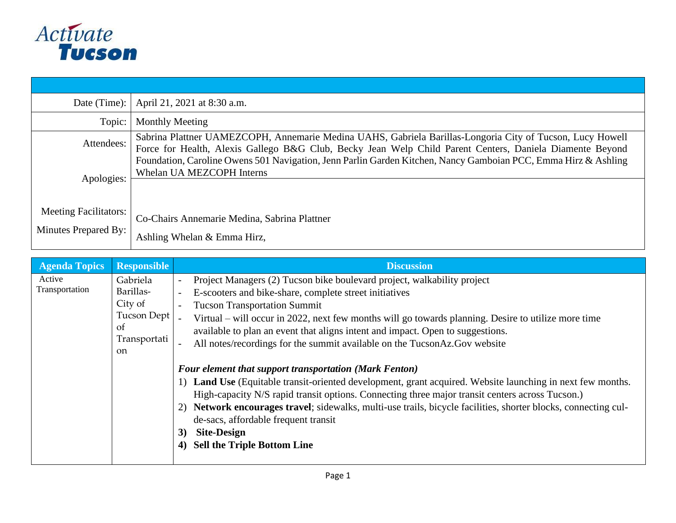

| Date (Time):                                                | April 21, 2021 at 8:30 a.m.                                                                                                                                                                                           |
|-------------------------------------------------------------|-----------------------------------------------------------------------------------------------------------------------------------------------------------------------------------------------------------------------|
| Topic:                                                      | <b>Monthly Meeting</b>                                                                                                                                                                                                |
| Attendees:                                                  | Sabrina Plattner UAMEZCOPH, Annemarie Medina UAHS, Gabriela Barillas-Longoria City of Tucson, Lucy Howell<br>Force for Health, Alexis Gallego B&G Club, Becky Jean Welp Child Parent Centers, Daniela Diamente Beyond |
| Apologies:                                                  | Foundation, Caroline Owens 501 Navigation, Jenn Parlin Garden Kitchen, Nancy Gamboian PCC, Emma Hirz & Ashling<br>Whelan UA MEZCOPH Interns                                                                           |
| <b>Meeting Facilitators:</b><br><b>Minutes Prepared By:</b> | Co-Chairs Annemarie Medina, Sabrina Plattner<br>Ashling Whelan & Emma Hirz,                                                                                                                                           |

| <b>Agenda Topics</b>     | <b>Responsible</b>                                                    | <b>Discussion</b>                                                                                                                                                                                                                                                                                                                                                                                                                                                                                                                                                                   |
|--------------------------|-----------------------------------------------------------------------|-------------------------------------------------------------------------------------------------------------------------------------------------------------------------------------------------------------------------------------------------------------------------------------------------------------------------------------------------------------------------------------------------------------------------------------------------------------------------------------------------------------------------------------------------------------------------------------|
| Active<br>Transportation | Gabriela<br>Barillas-<br>City of<br>Tucson Dept<br>Οf<br>Transportati | Project Managers (2) Tucson bike boulevard project, walkability project<br>E-scooters and bike-share, complete street initiatives<br><b>Tucson Transportation Summit</b><br>$\overline{\phantom{a}}$<br>Virtual – will occur in 2022, next few months will go towards planning. Desire to utilize more time<br>available to plan an event that aligns intent and impact. Open to suggestions.                                                                                                                                                                                       |
|                          | <sub>on</sub>                                                         | All notes/recordings for the summit available on the TucsonAz.Gov website<br>Four element that support transportation (Mark Fenton)<br><b>Land Use</b> (Equitable transit-oriented development, grant acquired. Website launching in next few months.<br>High-capacity N/S rapid transit options. Connecting three major transit centers across Tucson.)<br>Network encourages travel; sidewalks, multi-use trails, bicycle facilities, shorter blocks, connecting cul-<br>2)<br>de-sacs, affordable frequent transit<br><b>Site-Design</b><br>3)<br>4) Sell the Triple Bottom Line |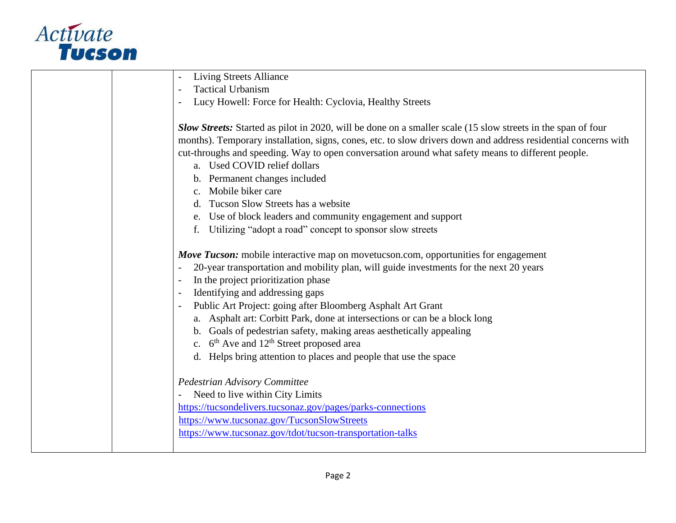

| <b>Living Streets Alliance</b>                                                                                      |
|---------------------------------------------------------------------------------------------------------------------|
| <b>Tactical Urbanism</b>                                                                                            |
| Lucy Howell: Force for Health: Cyclovia, Healthy Streets                                                            |
|                                                                                                                     |
| <b>Slow Streets:</b> Started as pilot in 2020, will be done on a smaller scale (15 slow streets in the span of four |
| months). Temporary installation, signs, cones, etc. to slow drivers down and address residential concerns with      |
| cut-throughs and speeding. Way to open conversation around what safety means to different people.                   |
| a. Used COVID relief dollars                                                                                        |
| b. Permanent changes included                                                                                       |
| Mobile biker care                                                                                                   |
| Tucson Slow Streets has a website                                                                                   |
| Use of block leaders and community engagement and support                                                           |
| Utilizing "adopt a road" concept to sponsor slow streets<br>f.                                                      |
|                                                                                                                     |
| <b>Move Tucson:</b> mobile interactive map on movetucson.com, opportunities for engagement                          |
| 20-year transportation and mobility plan, will guide investments for the next 20 years                              |
| In the project prioritization phase                                                                                 |
| Identifying and addressing gaps                                                                                     |
| Public Art Project: going after Bloomberg Asphalt Art Grant                                                         |
| a. Asphalt art: Corbitt Park, done at intersections or can be a block long                                          |
| b. Goals of pedestrian safety, making areas aesthetically appealing                                                 |
| c. $6^{\text{th}}$ Ave and $12^{\text{th}}$ Street proposed area                                                    |
| d. Helps bring attention to places and people that use the space                                                    |
|                                                                                                                     |
| Pedestrian Advisory Committee                                                                                       |
| Need to live within City Limits                                                                                     |
| https://tucsondelivers.tucsonaz.gov/pages/parks-connections                                                         |
| https://www.tucsonaz.gov/TucsonSlowStreets                                                                          |
| https://www.tucsonaz.gov/tdot/tucson-transportation-talks                                                           |
|                                                                                                                     |
|                                                                                                                     |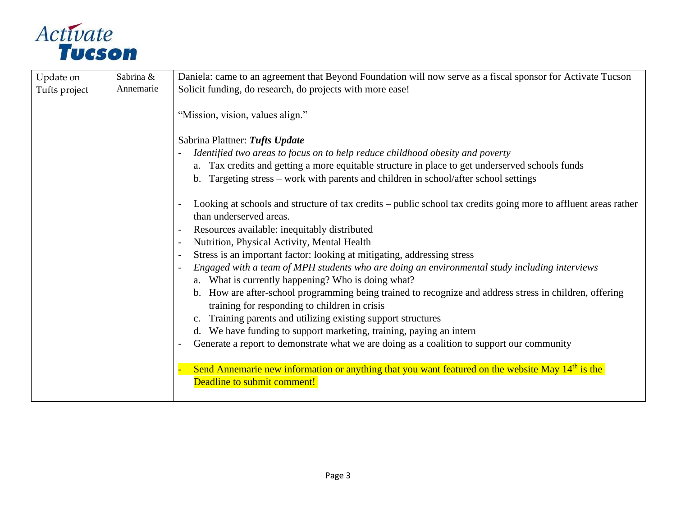

| Update on     | Sabrina & | Daniela: came to an agreement that Beyond Foundation will now serve as a fiscal sponsor for Activate Tucson                                                                          |
|---------------|-----------|--------------------------------------------------------------------------------------------------------------------------------------------------------------------------------------|
| Tufts project | Annemarie | Solicit funding, do research, do projects with more ease!                                                                                                                            |
|               |           | "Mission, vision, values align."                                                                                                                                                     |
|               |           | Sabrina Plattner: Tufts Update                                                                                                                                                       |
|               |           | Identified two areas to focus on to help reduce childhood obesity and poverty                                                                                                        |
|               |           | a. Tax credits and getting a more equitable structure in place to get underserved schools funds<br>Targeting stress – work with parents and children in school/after school settings |
|               |           | Looking at schools and structure of tax credits – public school tax credits going more to affluent areas rather<br>than underserved areas.                                           |
|               |           | Resources available: inequitably distributed                                                                                                                                         |
|               |           | Nutrition, Physical Activity, Mental Health                                                                                                                                          |
|               |           | Stress is an important factor: looking at mitigating, addressing stress                                                                                                              |
|               |           | Engaged with a team of MPH students who are doing an environmental study including interviews<br>a. What is currently happening? Who is doing what?                                  |
|               |           | b. How are after-school programming being trained to recognize and address stress in children, offering<br>training for responding to children in crisis                             |
|               |           | Training parents and utilizing existing support structures                                                                                                                           |
|               |           | d. We have funding to support marketing, training, paying an intern                                                                                                                  |
|               |           | Generate a report to demonstrate what we are doing as a coalition to support our community                                                                                           |
|               |           | Send Annemarie new information or anything that you want featured on the website May 14 <sup>th</sup> is the<br>Deadline to submit comment!                                          |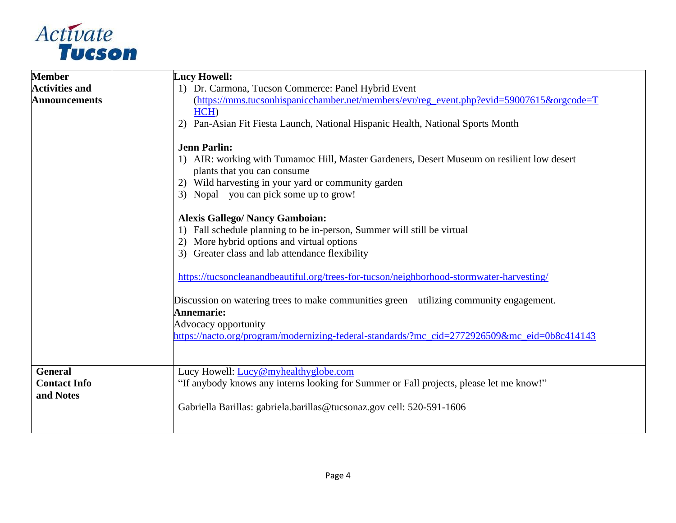

| <b>Member</b>                                      | <b>Lucy Howell:</b>                                                                                                                                                                                                                                                                                                                                                                                                                                                                                                                                                                                                                                              |
|----------------------------------------------------|------------------------------------------------------------------------------------------------------------------------------------------------------------------------------------------------------------------------------------------------------------------------------------------------------------------------------------------------------------------------------------------------------------------------------------------------------------------------------------------------------------------------------------------------------------------------------------------------------------------------------------------------------------------|
| <b>Activities and</b>                              | 1) Dr. Carmona, Tucson Commerce: Panel Hybrid Event                                                                                                                                                                                                                                                                                                                                                                                                                                                                                                                                                                                                              |
| <b>Announcements</b>                               | (https://mms.tucsonhispanicchamber.net/members/evr/reg_event.php?evid=59007615&orgcode=T<br>HCH)<br>Pan-Asian Fit Fiesta Launch, National Hispanic Health, National Sports Month<br>2)<br><b>Jenn Parlin:</b><br>1) AIR: working with Tumamoc Hill, Master Gardeners, Desert Museum on resilient low desert<br>plants that you can consume<br>2) Wild harvesting in your yard or community garden<br>3) Nopal – you can pick some up to grow!<br><b>Alexis Gallego/ Nancy Gamboian:</b><br>1) Fall schedule planning to be in-person, Summer will still be virtual<br>More hybrid options and virtual options<br>3) Greater class and lab attendance flexibility |
|                                                    | https://tucsoncleanandbeautiful.org/trees-for-tucson/neighborhood-stormwater-harvesting/<br>Discussion on watering trees to make communities green – utilizing community engagement.<br>Annemarie:<br>Advocacy opportunity<br>https://nacto.org/program/modernizing-federal-standards/?mc_cid=2772926509&mc_eid=0b8c414143                                                                                                                                                                                                                                                                                                                                       |
| <b>General</b><br><b>Contact Info</b><br>and Notes | Lucy Howell: Lucy@myhealthyglobe.com<br>"If anybody knows any interns looking for Summer or Fall projects, please let me know!"<br>Gabriella Barillas: gabriela.barillas@tucsonaz.gov cell: 520-591-1606                                                                                                                                                                                                                                                                                                                                                                                                                                                         |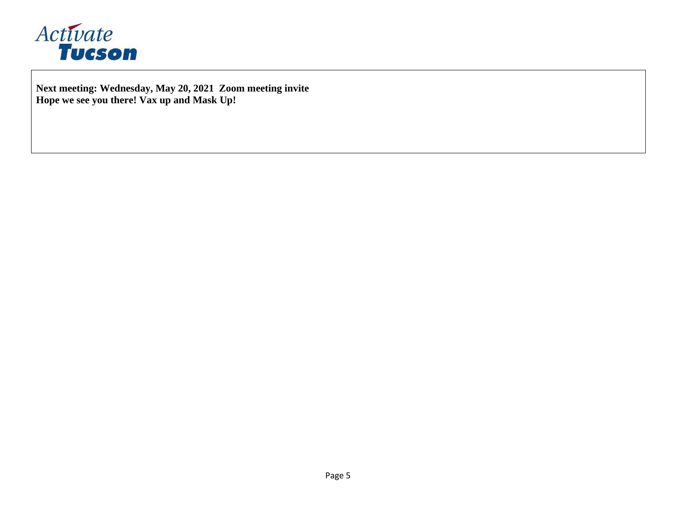

**Next meeting: Wednesday, May 20, 2021 Zoom meeting invite Hope we see you there! Vax up and Mask Up!**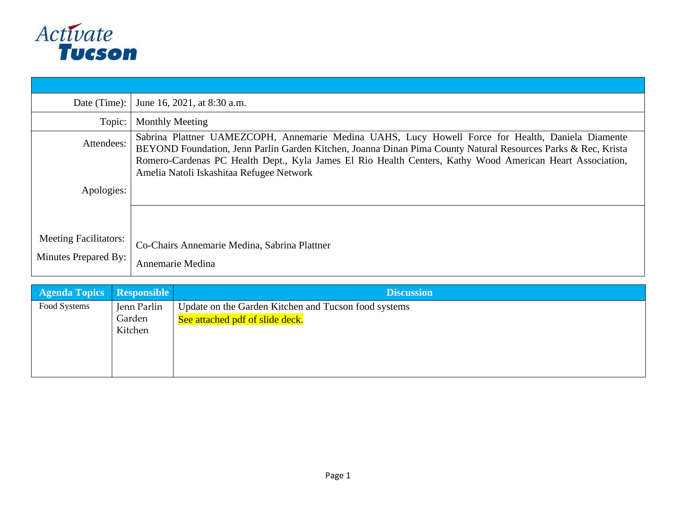

| Date (Time):                 | June 16, 2021, at 8:30 a.m.                                                                                                                                                                                                                                                                                                                                                 |
|------------------------------|-----------------------------------------------------------------------------------------------------------------------------------------------------------------------------------------------------------------------------------------------------------------------------------------------------------------------------------------------------------------------------|
| Topic:                       | <b>Monthly Meeting</b>                                                                                                                                                                                                                                                                                                                                                      |
| Attendees:                   | Sabrina Plattner UAMEZCOPH, Annemarie Medina UAHS, Lucy Howell Force for Health, Daniela Diamente<br>BEYOND Foundation, Jenn Parlin Garden Kitchen, Joanna Dinan Pima County Natural Resources Parks & Rec, Krista<br>Romero-Cardenas PC Health Dept., Kyla James El Rio Health Centers, Kathy Wood American Heart Association,<br>Amelia Natoli Iskashitaa Refugee Network |
| Apologies:                   |                                                                                                                                                                                                                                                                                                                                                                             |
|                              |                                                                                                                                                                                                                                                                                                                                                                             |
| <b>Meeting Facilitators:</b> | Co-Chairs Annemarie Medina, Sabrina Plattner                                                                                                                                                                                                                                                                                                                                |
| Minutes Prepared By:         | Annemarie Medina                                                                                                                                                                                                                                                                                                                                                            |

| <b>Agenda Topics Responsible</b> |             | <b>Discussion</b>                                    |
|----------------------------------|-------------|------------------------------------------------------|
| Food Systems                     | Jenn Parlin | Update on the Garden Kitchen and Tucson food systems |
|                                  | Garden      | See attached pdf of slide deck.                      |
|                                  | Kitchen     |                                                      |
|                                  |             |                                                      |
|                                  |             |                                                      |
|                                  |             |                                                      |
|                                  |             |                                                      |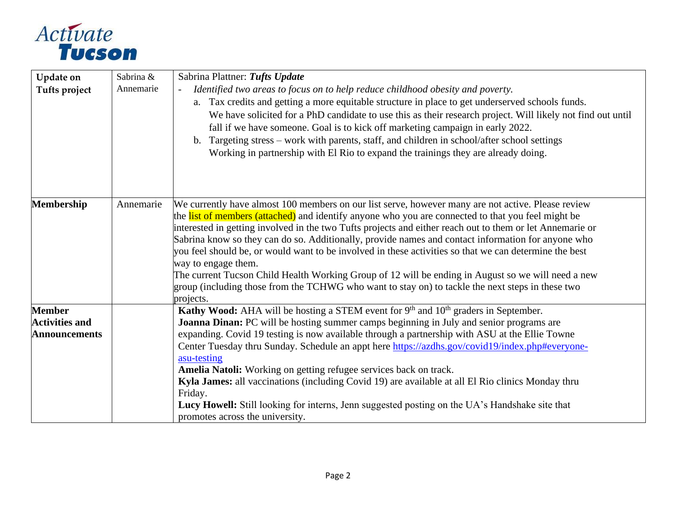

| <b>Update on</b><br>Tufts project                              | Sabrina &<br>Annemarie | Sabrina Plattner: Tufts Update<br>Identified two areas to focus on to help reduce childhood obesity and poverty.<br>$\overline{\phantom{a}}$<br>a. Tax credits and getting a more equitable structure in place to get underserved schools funds.<br>We have solicited for a PhD candidate to use this as their research project. Will likely not find out until                                                                                                                                                                                                                                                                                                                                                                                                                     |
|----------------------------------------------------------------|------------------------|-------------------------------------------------------------------------------------------------------------------------------------------------------------------------------------------------------------------------------------------------------------------------------------------------------------------------------------------------------------------------------------------------------------------------------------------------------------------------------------------------------------------------------------------------------------------------------------------------------------------------------------------------------------------------------------------------------------------------------------------------------------------------------------|
|                                                                |                        | fall if we have someone. Goal is to kick off marketing campaign in early 2022.<br>b. Targeting stress – work with parents, staff, and children in school/after school settings<br>Working in partnership with El Rio to expand the trainings they are already doing.                                                                                                                                                                                                                                                                                                                                                                                                                                                                                                                |
| <b>Membership</b>                                              | Annemarie              | We currently have almost 100 members on our list serve, however many are not active. Please review<br>the list of members (attached) and identify anyone who you are connected to that you feel might be<br>interested in getting involved in the two Tufts projects and either reach out to them or let Annemarie or<br>Sabrina know so they can do so. Additionally, provide names and contact information for anyone who<br>you feel should be, or would want to be involved in these activities so that we can determine the best<br>way to engage them.<br>The current Tucson Child Health Working Group of 12 will be ending in August so we will need a new<br>group (including those from the TCHWG who want to stay on) to tackle the next steps in these two<br>projects. |
| <b>Member</b><br><b>Activities and</b><br><b>Announcements</b> |                        | <b>Kathy Wood:</b> AHA will be hosting a STEM event for $9th$ and $10th$ graders in September.<br>Joanna Dinan: PC will be hosting summer camps beginning in July and senior programs are<br>expanding. Covid 19 testing is now available through a partnership with ASU at the Ellie Towne<br>Center Tuesday thru Sunday. Schedule an appt here https://azdhs.gov/covid19/index.php#everyone-<br>asu-testing<br>Amelia Natoli: Working on getting refugee services back on track.<br>Kyla James: all vaccinations (including Covid 19) are available at all El Rio clinics Monday thru<br>Friday.<br>Lucy Howell: Still looking for interns, Jenn suggested posting on the UA's Handshake site that<br>promotes across the university.                                             |